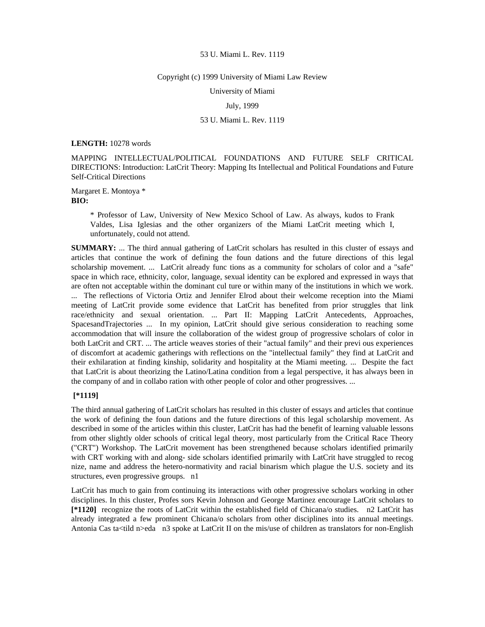#### Copyright (c) 1999 University of Miami Law Review

University of Miami

July, 1999

# 53 U. Miami L. Rev. 1119

**LENGTH:** 10278 words

MAPPING INTELLECTUAL/POLITICAL FOUNDATIONS AND FUTURE SELF CRITICAL DIRECTIONS: Introduction: LatCrit Theory: Mapping Its Intellectual and Political Foundations and Future Self-Critical Directions

Margaret E. Montoya \* **BIO:** 

> \* Professor of Law, University of New Mexico School of Law. As always, kudos to Frank Valdes, Lisa Iglesias and the other organizers of the Miami LatCrit meeting which I, unfortunately, could not attend.

**SUMMARY:** ... The third annual gathering of LatCrit scholars has resulted in this cluster of essays and articles that continue the work of defining the foun dations and the future directions of this legal scholarship movement. ... LatCrit already func tions as a community for scholars of color and a "safe" space in which race, ethnicity, color, language, sexual identity can be explored and expressed in ways that are often not acceptable within the dominant cul ture or within many of the institutions in which we work. ... The reflections of Victoria Ortiz and Jennifer Elrod about their welcome reception into the Miami meeting of LatCrit provide some evidence that LatCrit has benefited from prior struggles that link race/ethnicity and sexual orientation. ... Part II: Mapping LatCrit Antecedents, Approaches, SpacesandTrajectories ... In my opinion, LatCrit should give serious consideration to reaching some accommodation that will insure the collaboration of the widest group of progressive scholars of color in both LatCrit and CRT. ... The article weaves stories of their "actual family" and their previ ous experiences of discomfort at academic gatherings with reflections on the "intellectual family" they find at LatCrit and their exhilaration at finding kinship, solidarity and hospitality at the Miami meeting. ... Despite the fact that LatCrit is about theorizing the Latino/Latina condition from a legal perspective, it has always been in the company of and in collabo ration with other people of color and other progressives. ...

# **[\*1119]**

The third annual gathering of LatCrit scholars has resulted in this cluster of essays and articles that continue the work of defining the foun dations and the future directions of this legal scholarship movement. As described in some of the articles within this cluster, LatCrit has had the benefit of learning valuable lessons from other slightly older schools of critical legal theory, most particularly from the Critical Race Theory ("CRT") Workshop. The LatCrit movement has been strengthened because scholars identified primarily with CRT working with and along- side scholars identified primarily with LatCrit have struggled to recog nize, name and address the hetero-normativity and racial binarism which plague the U.S. society and its structures, even progressive groups. n1

LatCrit has much to gain from continuing its interactions with other progressive scholars working in other disciplines. In this cluster, Profes sors Kevin Johnson and George Martinez encourage LatCrit scholars to **[\*1120]** recognize the roots of LatCrit within the established field of Chicana/o studies. n2 LatCrit has already integrated a few prominent Chicana/o scholars from other disciplines into its annual meetings. Antonia Cas ta<tild n>eda n3 spoke at LatCrit II on the mis/use of children as translators for non-English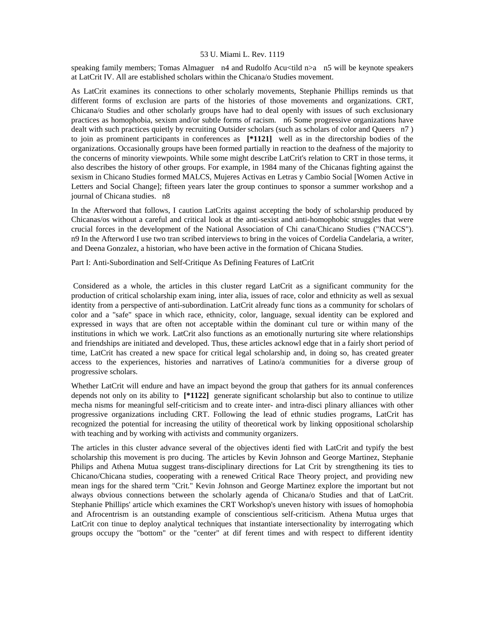speaking family members; Tomas Almaguer n4 and Rudolfo Acu<tild n>a n5 will be keynote speakers at LatCrit IV. All are established scholars within the Chicana/o Studies movement.

As LatCrit examines its connections to other scholarly movements, Stephanie Phillips reminds us that different forms of exclusion are parts of the histories of those movements and organizations. CRT, Chicana/o Studies and other scholarly groups have had to deal openly with issues of such exclusionary practices as homophobia, sexism and/or subtle forms of racism. n6 Some progressive organizations have dealt with such practices quietly by recruiting Outsider scholars (such as scholars of color and Queers n7 ) to join as prominent participants in conferences as **[\*1121]** well as in the directorship bodies of the organizations. Occasionally groups have been formed partially in reaction to the deafness of the majority to the concerns of minority viewpoints. While some might describe LatCrit's relation to CRT in those terms, it also describes the history of other groups. For example, in 1984 many of the Chicanas fighting against the sexism in Chicano Studies formed MALCS, Mujeres Activas en Letras y Cambio Social [Women Active in Letters and Social Change]; fifteen years later the group continues to sponsor a summer workshop and a journal of Chicana studies. n8

In the Afterword that follows, I caution LatCrits against accepting the body of scholarship produced by Chicanas/os without a careful and critical look at the anti-sexist and anti-homophobic struggles that were crucial forces in the development of the National Association of Chi cana/Chicano Studies ("NACCS"). n9 In the Afterword I use two tran scribed interviews to bring in the voices of Cordelia Candelaria, a writer, and Deena Gonzalez, a historian, who have been active in the formation of Chicana Studies.

Part I: Anti-Subordination and Self-Critique As Defining Features of LatCrit

 Considered as a whole, the articles in this cluster regard LatCrit as a significant community for the production of critical scholarship exam ining, inter alia, issues of race, color and ethnicity as well as sexual identity from a perspective of anti-subordination. LatCrit already func tions as a community for scholars of color and a "safe" space in which race, ethnicity, color, language, sexual identity can be explored and expressed in ways that are often not acceptable within the dominant cul ture or within many of the institutions in which we work. LatCrit also functions as an emotionally nurturing site where relationships and friendships are initiated and developed. Thus, these articles acknowl edge that in a fairly short period of time, LatCrit has created a new space for critical legal scholarship and, in doing so, has created greater access to the experiences, histories and narratives of Latino/a communities for a diverse group of progressive scholars.

Whether LatCrit will endure and have an impact beyond the group that gathers for its annual conferences depends not only on its ability to **[\*1122]** generate significant scholarship but also to continue to utilize mecha nisms for meaningful self-criticism and to create inter- and intra-disci plinary alliances with other progressive organizations including CRT. Following the lead of ethnic studies programs, LatCrit has recognized the potential for increasing the utility of theoretical work by linking oppositional scholarship with teaching and by working with activists and community organizers.

The articles in this cluster advance several of the objectives identi fied with LatCrit and typify the best scholarship this movement is pro ducing. The articles by Kevin Johnson and George Martinez, Stephanie Philips and Athena Mutua suggest trans-disciplinary directions for Lat Crit by strengthening its ties to Chicano/Chicana studies, cooperating with a renewed Critical Race Theory project, and providing new mean ings for the shared term "Crit." Kevin Johnson and George Martinez explore the important but not always obvious connections between the scholarly agenda of Chicana/o Studies and that of LatCrit. Stephanie Phillips' article which examines the CRT Workshop's uneven history with issues of homophobia and Afrocentrism is an outstanding example of conscientious self-criticism. Athena Mutua urges that LatCrit con tinue to deploy analytical techniques that instantiate intersectionality by interrogating which groups occupy the "bottom" or the "center" at dif ferent times and with respect to different identity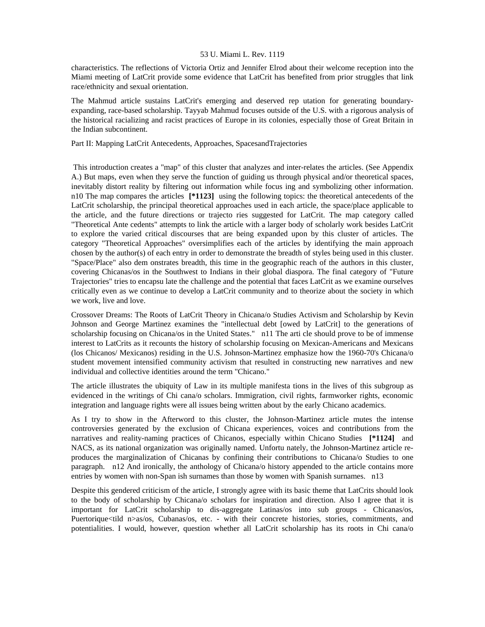characteristics. The reflections of Victoria Ortiz and Jennifer Elrod about their welcome reception into the Miami meeting of LatCrit provide some evidence that LatCrit has benefited from prior struggles that link race/ethnicity and sexual orientation.

The Mahmud article sustains LatCrit's emerging and deserved rep utation for generating boundaryexpanding, race-based scholarship. Tayyab Mahmud focuses outside of the U.S. with a rigorous analysis of the historical racializing and racist practices of Europe in its colonies, especially those of Great Britain in the Indian subcontinent.

Part II: Mapping LatCrit Antecedents, Approaches, SpacesandTrajectories

 This introduction creates a "map" of this cluster that analyzes and inter-relates the articles. (See Appendix A.) But maps, even when they serve the function of guiding us through physical and/or theoretical spaces, inevitably distort reality by filtering out information while focus ing and symbolizing other information. n10 The map compares the articles **[\*1123]** using the following topics: the theoretical antecedents of the LatCrit scholarship, the principal theoretical approaches used in each article, the space/place applicable to the article, and the future directions or trajecto ries suggested for LatCrit. The map category called "Theoretical Ante cedents" attempts to link the article with a larger body of scholarly work besides LatCrit to explore the varied critical discourses that are being expanded upon by this cluster of articles. The category "Theoretical Approaches" oversimplifies each of the articles by identifying the main approach chosen by the author(s) of each entry in order to demonstrate the breadth of styles being used in this cluster. "Space/Place" also dem onstrates breadth, this time in the geographic reach of the authors in this cluster, covering Chicanas/os in the Southwest to Indians in their global diaspora. The final category of "Future Trajectories" tries to encapsu late the challenge and the potential that faces LatCrit as we examine ourselves critically even as we continue to develop a LatCrit community and to theorize about the society in which we work, live and love.

Crossover Dreams: The Roots of LatCrit Theory in Chicana/o Studies Activism and Scholarship by Kevin Johnson and George Martinez examines the "intellectual debt [owed by LatCrit] to the generations of scholarship focusing on Chicana/os in the United States." n11 The arti cle should prove to be of immense interest to LatCrits as it recounts the history of scholarship focusing on Mexican-Americans and Mexicans (los Chicanos/ Mexicanos) residing in the U.S. Johnson-Martinez emphasize how the 1960-70's Chicana/o student movement intensified community activism that resulted in constructing new narratives and new individual and collective identities around the term "Chicano."

The article illustrates the ubiquity of Law in its multiple manifesta tions in the lives of this subgroup as evidenced in the writings of Chi cana/o scholars. Immigration, civil rights, farmworker rights, economic integration and language rights were all issues being written about by the early Chicano academics.

As I try to show in the Afterword to this cluster, the Johnson-Martinez article mutes the intense controversies generated by the exclusion of Chicana experiences, voices and contributions from the narratives and reality-naming practices of Chicanos, especially within Chicano Studies **[\*1124]** and NACS, as its national organization was originally named. Unfortu nately, the Johnson-Martinez article reproduces the marginalization of Chicanas by confining their contributions to Chicana/o Studies to one paragraph. n12 And ironically, the anthology of Chicana/o history appended to the article contains more entries by women with non-Span ish surnames than those by women with Spanish surnames. n13

Despite this gendered criticism of the article, I strongly agree with its basic theme that LatCrits should look to the body of scholarship by Chicana/o scholars for inspiration and direction. Also I agree that it is important for LatCrit scholarship to dis-aggregate Latinas/os into sub groups - Chicanas/os, Puertorique<tild n>as/os, Cubanas/os, etc. - with their concrete histories, stories, commitments, and potentialities. I would, however, question whether all LatCrit scholarship has its roots in Chi cana/o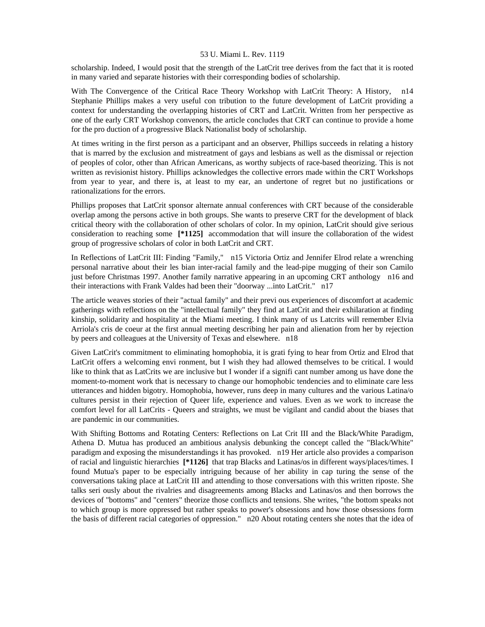scholarship. Indeed, I would posit that the strength of the LatCrit tree derives from the fact that it is rooted in many varied and separate histories with their corresponding bodies of scholarship.

With The Convergence of the Critical Race Theory Workshop with LatCrit Theory: A History, n14 Stephanie Phillips makes a very useful con tribution to the future development of LatCrit providing a context for understanding the overlapping histories of CRT and LatCrit. Written from her perspective as one of the early CRT Workshop convenors, the article concludes that CRT can continue to provide a home for the pro duction of a progressive Black Nationalist body of scholarship.

At times writing in the first person as a participant and an observer, Phillips succeeds in relating a history that is marred by the exclusion and mistreatment of gays and lesbians as well as the dismissal or rejection of peoples of color, other than African Americans, as worthy subjects of race-based theorizing. This is not written as revisionist history. Phillips acknowledges the collective errors made within the CRT Workshops from year to year, and there is, at least to my ear, an undertone of regret but no justifications or rationalizations for the errors.

Phillips proposes that LatCrit sponsor alternate annual conferences with CRT because of the considerable overlap among the persons active in both groups. She wants to preserve CRT for the development of black critical theory with the collaboration of other scholars of color. In my opinion, LatCrit should give serious consideration to reaching some **[\*1125]** accommodation that will insure the collaboration of the widest group of progressive scholars of color in both LatCrit and CRT.

In Reflections of LatCrit III: Finding "Family," n15 Victoria Ortiz and Jennifer Elrod relate a wrenching personal narrative about their les bian inter-racial family and the lead-pipe mugging of their son Camilo just before Christmas 1997. Another family narrative appearing in an upcoming CRT anthology n16 and their interactions with Frank Valdes had been their "doorway ...into LatCrit." n17

The article weaves stories of their "actual family" and their previ ous experiences of discomfort at academic gatherings with reflections on the "intellectual family" they find at LatCrit and their exhilaration at finding kinship, solidarity and hospitality at the Miami meeting. I think many of us Latcrits will remember Elvia Arriola's cris de coeur at the first annual meeting describing her pain and alienation from her by rejection by peers and colleagues at the University of Texas and elsewhere. n18

Given LatCrit's commitment to eliminating homophobia, it is grati fying to hear from Ortiz and Elrod that LatCrit offers a welcoming envi ronment, but I wish they had allowed themselves to be critical. I would like to think that as LatCrits we are inclusive but I wonder if a signifi cant number among us have done the moment-to-moment work that is necessary to change our homophobic tendencies and to eliminate care less utterances and hidden bigotry. Homophobia, however, runs deep in many cultures and the various Latina/o cultures persist in their rejection of Queer life, experience and values. Even as we work to increase the comfort level for all LatCrits - Queers and straights, we must be vigilant and candid about the biases that are pandemic in our communities.

With Shifting Bottoms and Rotating Centers: Reflections on Lat Crit III and the Black/White Paradigm, Athena D. Mutua has produced an ambitious analysis debunking the concept called the "Black/White" paradigm and exposing the misunderstandings it has provoked. n19 Her article also provides a comparison of racial and linguistic hierarchies **[\*1126]** that trap Blacks and Latinas/os in different ways/places/times. I found Mutua's paper to be especially intriguing because of her ability in cap turing the sense of the conversations taking place at LatCrit III and attending to those conversations with this written riposte. She talks seri ously about the rivalries and disagreements among Blacks and Latinas/os and then borrows the devices of "bottoms" and "centers" theorize those conflicts and tensions. She writes, "the bottom speaks not to which group is more oppressed but rather speaks to power's obsessions and how those obsessions form the basis of different racial categories of oppression." n20 About rotating centers she notes that the idea of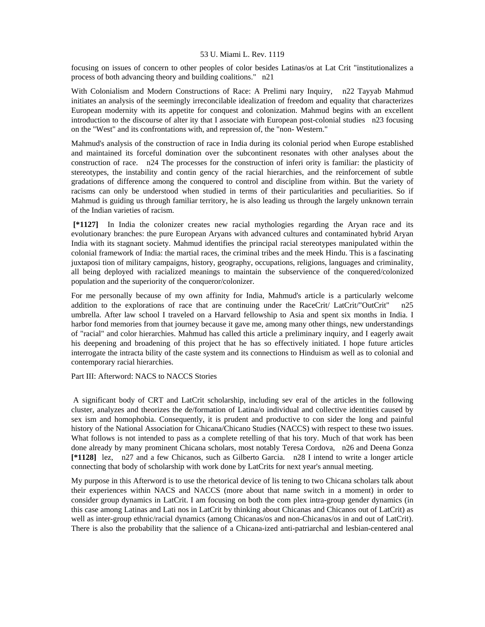focusing on issues of concern to other peoples of color besides Latinas/os at Lat Crit "institutionalizes a process of both advancing theory and building coalitions." n21

With Colonialism and Modern Constructions of Race: A Prelimi nary Inquiry, n22 Tayyab Mahmud initiates an analysis of the seemingly irreconcilable idealization of freedom and equality that characterizes European modernity with its appetite for conquest and colonization. Mahmud begins with an excellent introduction to the discourse of alter ity that I associate with European post-colonial studies n23 focusing on the "West" and its confrontations with, and repression of, the "non- Western."

Mahmud's analysis of the construction of race in India during its colonial period when Europe established and maintained its forceful domination over the subcontinent resonates with other analyses about the construction of race. n24 The processes for the construction of inferi ority is familiar: the plasticity of stereotypes, the instability and contin gency of the racial hierarchies, and the reinforcement of subtle gradations of difference among the conquered to control and discipline from within. But the variety of racisms can only be understood when studied in terms of their particularities and peculiarities. So if Mahmud is guiding us through familiar territory, he is also leading us through the largely unknown terrain of the Indian varieties of racism.

 **[\*1127]** In India the colonizer creates new racial mythologies regarding the Aryan race and its evolutionary branches: the pure European Aryans with advanced cultures and contaminated hybrid Aryan India with its stagnant society. Mahmud identifies the principal racial stereotypes manipulated within the colonial framework of India: the martial races, the criminal tribes and the meek Hindu. This is a fascinating juxtaposi tion of military campaigns, history, geography, occupations, religions, languages and criminality, all being deployed with racialized meanings to maintain the subservience of the conquered/colonized population and the superiority of the conqueror/colonizer.

For me personally because of my own affinity for India, Mahmud's article is a particularly welcome addition to the explorations of race that are continuing under the RaceCrit/ LatCrit/"OutCrit" n25 umbrella. After law school I traveled on a Harvard fellowship to Asia and spent six months in India. I harbor fond memories from that journey because it gave me, among many other things, new understandings of "racial" and color hierarchies. Mahmud has called this article a preliminary inquiry, and I eagerly await his deepening and broadening of this project that he has so effectively initiated. I hope future articles interrogate the intracta bility of the caste system and its connections to Hinduism as well as to colonial and contemporary racial hierarchies.

#### Part III: Afterword: NACS to NACCS Stories

 A significant body of CRT and LatCrit scholarship, including sev eral of the articles in the following cluster, analyzes and theorizes the de/formation of Latina/o individual and collective identities caused by sex ism and homophobia. Consequently, it is prudent and productive to con sider the long and painful history of the National Association for Chicana/Chicano Studies (NACCS) with respect to these two issues. What follows is not intended to pass as a complete retelling of that his tory. Much of that work has been done already by many prominent Chicana scholars, most notably Teresa Cordova, n26 and Deena Gonza **[\*1128]** lez, n27 and a few Chicanos, such as Gilberto Garcia. n28 I intend to write a longer article connecting that body of scholarship with work done by LatCrits for next year's annual meeting.

My purpose in this Afterword is to use the rhetorical device of lis tening to two Chicana scholars talk about their experiences within NACS and NACCS (more about that name switch in a moment) in order to consider group dynamics in LatCrit. I am focusing on both the com plex intra-group gender dynamics (in this case among Latinas and Lati nos in LatCrit by thinking about Chicanas and Chicanos out of LatCrit) as well as inter-group ethnic/racial dynamics (among Chicanas/os and non-Chicanas/os in and out of LatCrit). There is also the probability that the salience of a Chicana-ized anti-patriarchal and lesbian-centered anal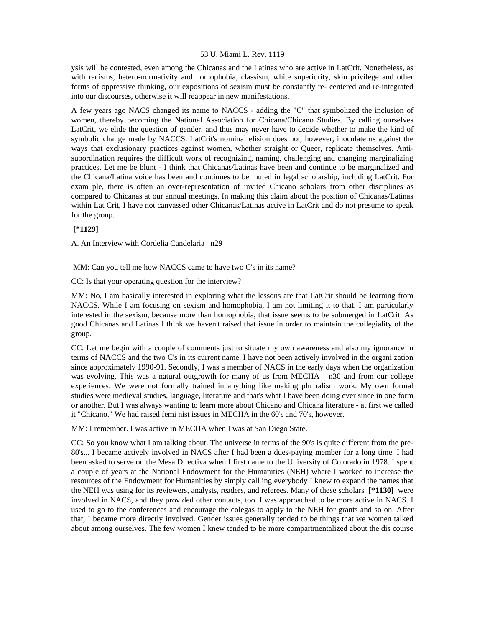ysis will be contested, even among the Chicanas and the Latinas who are active in LatCrit. Nonetheless, as with racisms, hetero-normativity and homophobia, classism, white superiority, skin privilege and other forms of oppressive thinking, our expositions of sexism must be constantly re- centered and re-integrated into our discourses, otherwise it will reappear in new manifestations.

A few years ago NACS changed its name to NACCS - adding the "C" that symbolized the inclusion of women, thereby becoming the National Association for Chicana/Chicano Studies. By calling ourselves LatCrit, we elide the question of gender, and thus may never have to decide whether to make the kind of symbolic change made by NACCS. LatCrit's nominal elision does not, however, inoculate us against the ways that exclusionary practices against women, whether straight or Queer, replicate themselves. Antisubordination requires the difficult work of recognizing, naming, challenging and changing marginalizing practices. Let me be blunt - I think that Chicanas/Latinas have been and continue to be marginalized and the Chicana/Latina voice has been and continues to be muted in legal scholarship, including LatCrit. For exam ple, there is often an over-representation of invited Chicano scholars from other disciplines as compared to Chicanas at our annual meetings. In making this claim about the position of Chicanas/Latinas within Lat Crit, I have not canvassed other Chicanas/Latinas active in LatCrit and do not presume to speak for the group.

# **[\*1129]**

A. An Interview with Cordelia Candelaria n29

MM: Can you tell me how NACCS came to have two C's in its name?

CC: Is that your operating question for the interview?

MM: No, I am basically interested in exploring what the lessons are that LatCrit should be learning from NACCS. While I am focusing on sexism and homophobia, I am not limiting it to that. I am particularly interested in the sexism, because more than homophobia, that issue seems to be submerged in LatCrit. As good Chicanas and Latinas I think we haven't raised that issue in order to maintain the collegiality of the group.

CC: Let me begin with a couple of comments just to situate my own awareness and also my ignorance in terms of NACCS and the two C's in its current name. I have not been actively involved in the organi zation since approximately 1990-91. Secondly, I was a member of NACS in the early days when the organization was evolving. This was a natural outgrowth for many of us from MECHA n30 and from our college experiences. We were not formally trained in anything like making plu ralism work. My own formal studies were medieval studies, language, literature and that's what I have been doing ever since in one form or another. But I was always wanting to learn more about Chicano and Chicana literature - at first we called it "Chicano." We had raised femi nist issues in MECHA in the 60's and 70's, however.

MM: I remember. I was active in MECHA when I was at San Diego State.

CC: So you know what I am talking about. The universe in terms of the 90's is quite different from the pre-80's... I became actively involved in NACS after I had been a dues-paying member for a long time. I had been asked to serve on the Mesa Directiva when I first came to the University of Colorado in 1978. I spent a couple of years at the National Endowment for the Humanities (NEH) where I worked to increase the resources of the Endowment for Humanities by simply call ing everybody I knew to expand the names that the NEH was using for its reviewers, analysts, readers, and referees. Many of these scholars **[\*1130]** were involved in NACS, and they provided other contacts, too. I was approached to be more active in NACS. I used to go to the conferences and encourage the colegas to apply to the NEH for grants and so on. After that, I became more directly involved. Gender issues generally tended to be things that we women talked about among ourselves. The few women I knew tended to be more compartmentalized about the dis course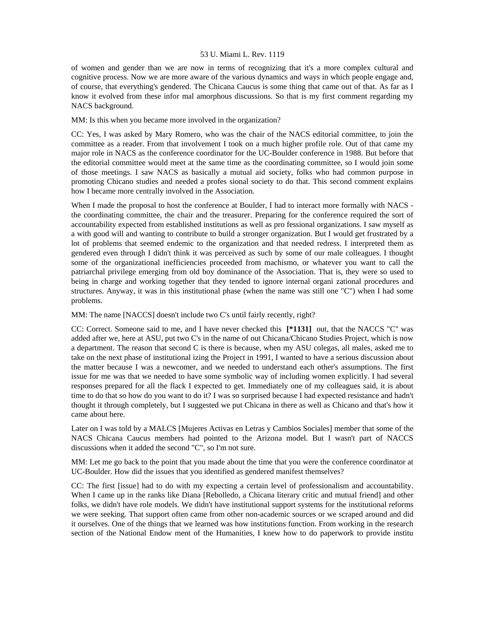of women and gender than we are now in terms of recognizing that it's a more complex cultural and cognitive process. Now we are more aware of the various dynamics and ways in which people engage and, of course, that everything's gendered. The Chicana Caucus is some thing that came out of that. As far as I know it evolved from these infor mal amorphous discussions. So that is my first comment regarding my NACS background.

# MM: Is this when you became more involved in the organization?

CC: Yes, I was asked by Mary Romero, who was the chair of the NACS editorial committee, to join the committee as a reader. From that involvement I took on a much higher profile role. Out of that came my major role in NACS as the conference coordinator for the UC-Boulder conference in 1988. But before that the editorial committee would meet at the same time as the coordinating committee, so I would join some of those meetings. I saw NACS as basically a mutual aid society, folks who had common purpose in promoting Chicano studies and needed a profes sional society to do that. This second comment explains how I became more centrally involved in the Association.

When I made the proposal to host the conference at Boulder, I had to interact more formally with NACS the coordinating committee, the chair and the treasurer. Preparing for the conference required the sort of accountability expected from established institutions as well as pro fessional organizations. I saw myself as a with good will and wanting to contribute to build a stronger organization. But I would get frustrated by a lot of problems that seemed endemic to the organization and that needed redress. I interpreted them as gendered even through I didn't think it was perceived as such by some of our male colleagues. I thought some of the organizational inefficiencies proceeded from machismo, or whatever you want to call the patriarchal privilege emerging from old boy dominance of the Association. That is, they were so used to being in charge and working together that they tended to ignore internal organi zational procedures and structures. Anyway, it was in this institutional phase (when the name was still one "C") when I had some problems.

MM: The name [NACCS] doesn't include two C's until fairly recently, right?

CC: Correct. Someone said to me, and I have never checked this **[\*1131]** out, that the NACCS "C" was added after we, here at ASU, put two C's in the name of out Chicana/Chicano Studies Project, which is now a department. The reason that second C is there is because, when my ASU colegas, all males, asked me to take on the next phase of institutional izing the Project in 1991, I wanted to have a serious discussion about the matter because I was a newcomer, and we needed to understand each other's assumptions. The first issue for me was that we needed to have some symbolic way of including women explicitly. I had several responses prepared for all the flack I expected to get. Immediately one of my colleagues said, it is about time to do that so how do you want to do it? I was so surprised because I had expected resistance and hadn't thought it through completely, but I suggested we put Chicana in there as well as Chicano and that's how it came about here.

Later on I was told by a MALCS [Mujeres Activas en Letras y Cambios Sociales] member that some of the NACS Chicana Caucus members had pointed to the Arizona model. But I wasn't part of NACCS discussions when it added the second "C", so I'm not sure.

MM: Let me go back to the point that you made about the time that you were the conference coordinator at UC-Boulder. How did the issues that you identified as gendered manifest themselves?

CC: The first [issue] had to do with my expecting a certain level of professionalism and accountability. When I came up in the ranks like Diana [Rebolledo, a Chicana literary critic and mutual friend] and other folks, we didn't have role models. We didn't have institutional support systems for the institutional reforms we were seeking. That support often came from other non-academic sources or we scraped around and did it ourselves. One of the things that we learned was how institutions function. From working in the research section of the National Endow ment of the Humanities, I knew how to do paperwork to provide institu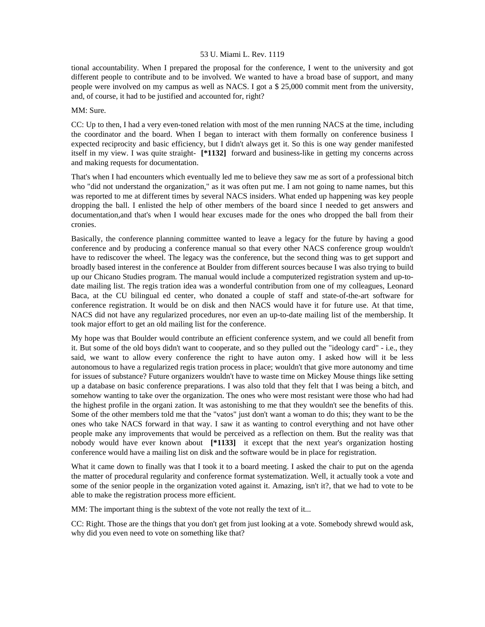tional accountability. When I prepared the proposal for the conference, I went to the university and got different people to contribute and to be involved. We wanted to have a broad base of support, and many people were involved on my campus as well as NACS. I got a \$ 25,000 commit ment from the university, and, of course, it had to be justified and accounted for, right?

### MM: Sure.

CC: Up to then, I had a very even-toned relation with most of the men running NACS at the time, including the coordinator and the board. When I began to interact with them formally on conference business I expected reciprocity and basic efficiency, but I didn't always get it. So this is one way gender manifested itself in my view. I was quite straight- **[\*1132]** forward and business-like in getting my concerns across and making requests for documentation.

That's when I had encounters which eventually led me to believe they saw me as sort of a professional bitch who "did not understand the organization," as it was often put me. I am not going to name names, but this was reported to me at different times by several NACS insiders. What ended up happening was key people dropping the ball. I enlisted the help of other members of the board since I needed to get answers and documentation,and that's when I would hear excuses made for the ones who dropped the ball from their cronies.

Basically, the conference planning committee wanted to leave a legacy for the future by having a good conference and by producing a conference manual so that every other NACS conference group wouldn't have to rediscover the wheel. The legacy was the conference, but the second thing was to get support and broadly based interest in the conference at Boulder from different sources because I was also trying to build up our Chicano Studies program. The manual would include a computerized registration system and up-todate mailing list. The regis tration idea was a wonderful contribution from one of my colleagues, Leonard Baca, at the CU bilingual ed center, who donated a couple of staff and state-of-the-art software for conference registration. It would be on disk and then NACS would have it for future use. At that time, NACS did not have any regularized procedures, nor even an up-to-date mailing list of the membership. It took major effort to get an old mailing list for the conference.

My hope was that Boulder would contribute an efficient conference system, and we could all benefit from it. But some of the old boys didn't want to cooperate, and so they pulled out the "ideology card" - i.e., they said, we want to allow every conference the right to have auton omy. I asked how will it be less autonomous to have a regularized regis tration process in place; wouldn't that give more autonomy and time for issues of substance? Future organizers wouldn't have to waste time on Mickey Mouse things like setting up a database on basic conference preparations. I was also told that they felt that I was being a bitch, and somehow wanting to take over the organization. The ones who were most resistant were those who had had the highest profile in the organi zation. It was astonishing to me that they wouldn't see the benefits of this. Some of the other members told me that the "vatos" just don't want a woman to do this; they want to be the ones who take NACS forward in that way. I saw it as wanting to control everything and not have other people make any improvements that would be perceived as a reflection on them. But the reality was that nobody would have ever known about **[\*1133]** it except that the next year's organization hosting conference would have a mailing list on disk and the software would be in place for registration.

What it came down to finally was that I took it to a board meeting. I asked the chair to put on the agenda the matter of procedural regularity and conference format systematization. Well, it actually took a vote and some of the senior people in the organization voted against it. Amazing, isn't it?, that we had to vote to be able to make the registration process more efficient.

MM: The important thing is the subtext of the vote not really the text of it...

CC: Right. Those are the things that you don't get from just looking at a vote. Somebody shrewd would ask, why did you even need to vote on something like that?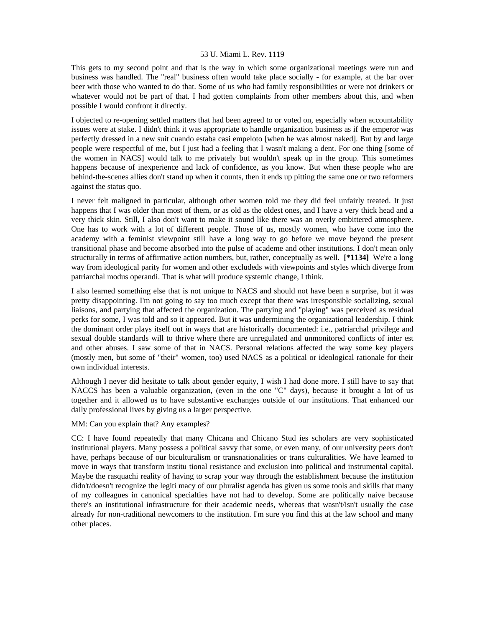This gets to my second point and that is the way in which some organizational meetings were run and business was handled. The "real" business often would take place socially - for example, at the bar over beer with those who wanted to do that. Some of us who had family responsibilities or were not drinkers or whatever would not be part of that. I had gotten complaints from other members about this, and when possible I would confront it directly.

I objected to re-opening settled matters that had been agreed to or voted on, especially when accountability issues were at stake. I didn't think it was appropriate to handle organization business as if the emperor was perfectly dressed in a new suit cuando estaba casi empeloto [when he was almost naked]. But by and large people were respectful of me, but I just had a feeling that I wasn't making a dent. For one thing [some of the women in NACS] would talk to me privately but wouldn't speak up in the group. This sometimes happens because of inexperience and lack of confidence, as you know. But when these people who are behind-the-scenes allies don't stand up when it counts, then it ends up pitting the same one or two reformers against the status quo.

I never felt maligned in particular, although other women told me they did feel unfairly treated. It just happens that I was older than most of them, or as old as the oldest ones, and I have a very thick head and a very thick skin. Still, I also don't want to make it sound like there was an overly embittered atmosphere. One has to work with a lot of different people. Those of us, mostly women, who have come into the academy with a feminist viewpoint still have a long way to go before we move beyond the present transitional phase and become absorbed into the pulse of academe and other institutions. I don't mean only structurally in terms of affirmative action numbers, but, rather, conceptually as well. **[\*1134]** We're a long way from ideological parity for women and other excludeds with viewpoints and styles which diverge from patriarchal modus operandi. That is what will produce systemic change, I think.

I also learned something else that is not unique to NACS and should not have been a surprise, but it was pretty disappointing. I'm not going to say too much except that there was irresponsible socializing, sexual liaisons, and partying that affected the organization. The partying and "playing" was perceived as residual perks for some, I was told and so it appeared. But it was undermining the organizational leadership. I think the dominant order plays itself out in ways that are historically documented: i.e., patriarchal privilege and sexual double standards will to thrive where there are unregulated and unmonitored conflicts of inter est and other abuses. I saw some of that in NACS. Personal relations affected the way some key players (mostly men, but some of "their" women, too) used NACS as a political or ideological rationale for their own individual interests.

Although I never did hesitate to talk about gender equity, I wish I had done more. I still have to say that NACCS has been a valuable organization, (even in the one "C" days), because it brought a lot of us together and it allowed us to have substantive exchanges outside of our institutions. That enhanced our daily professional lives by giving us a larger perspective.

MM: Can you explain that? Any examples?

CC: I have found repeatedly that many Chicana and Chicano Stud ies scholars are very sophisticated institutional players. Many possess a political savvy that some, or even many, of our university peers don't have, perhaps because of our biculturalism or transnationalities or trans culturalities. We have learned to move in ways that transform institu tional resistance and exclusion into political and instrumental capital. Maybe the rasquachi reality of having to scrap your way through the establishment because the institution didn't/doesn't recognize the legiti macy of our pluralist agenda has given us some tools and skills that many of my colleagues in canonical specialties have not had to develop. Some are politically naive because there's an institutional infrastructure for their academic needs, whereas that wasn't/isn't usually the case already for non-traditional newcomers to the institution. I'm sure you find this at the law school and many other places.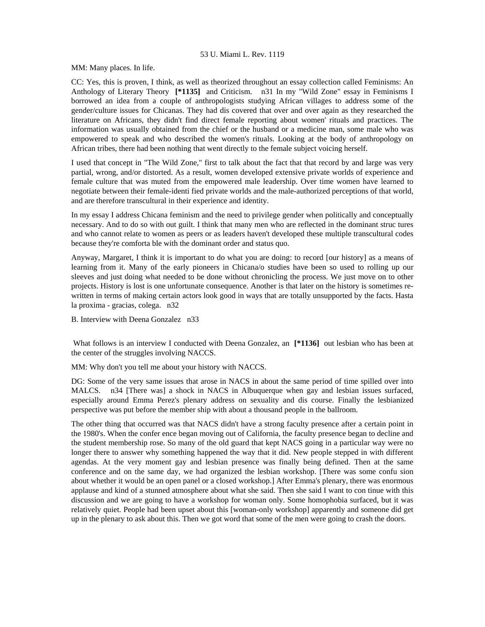MM: Many places. In life.

CC: Yes, this is proven, I think, as well as theorized throughout an essay collection called Feminisms: An Anthology of Literary Theory **[\*1135]** and Criticism. n31 In my "Wild Zone" essay in Feminisms I borrowed an idea from a couple of anthropologists studying African villages to address some of the gender/culture issues for Chicanas. They had dis covered that over and over again as they researched the literature on Africans, they didn't find direct female reporting about women' rituals and practices. The information was usually obtained from the chief or the husband or a medicine man, some male who was empowered to speak and who described the women's rituals. Looking at the body of anthropology on African tribes, there had been nothing that went directly to the female subject voicing herself.

I used that concept in "The Wild Zone," first to talk about the fact that that record by and large was very partial, wrong, and/or distorted. As a result, women developed extensive private worlds of experience and female culture that was muted from the empowered male leadership. Over time women have learned to negotiate between their female-identi fied private worlds and the male-authorized perceptions of that world, and are therefore transcultural in their experience and identity.

In my essay I address Chicana feminism and the need to privilege gender when politically and conceptually necessary. And to do so with out guilt. I think that many men who are reflected in the dominant struc tures and who cannot relate to women as peers or as leaders haven't developed these multiple transcultural codes because they're comforta ble with the dominant order and status quo.

Anyway, Margaret, I think it is important to do what you are doing: to record [our history] as a means of learning from it. Many of the early pioneers in Chicana/o studies have been so used to rolling up our sleeves and just doing what needed to be done without chronicling the process. We just move on to other projects. History is lost is one unfortunate consequence. Another is that later on the history is sometimes rewritten in terms of making certain actors look good in ways that are totally unsupported by the facts. Hasta la proxima - gracias, colega. n32

B. Interview with Deena Gonzalez n33

 What follows is an interview I conducted with Deena Gonzalez, an **[\*1136]** out lesbian who has been at the center of the struggles involving NACCS.

MM: Why don't you tell me about your history with NACCS.

DG: Some of the very same issues that arose in NACS in about the same period of time spilled over into MALCS. n34 [There was] a shock in NACS in Albuquerque when gay and lesbian issues surfaced, especially around Emma Perez's plenary address on sexuality and dis course. Finally the lesbianized perspective was put before the member ship with about a thousand people in the ballroom.

The other thing that occurred was that NACS didn't have a strong faculty presence after a certain point in the 1980's. When the confer ence began moving out of California, the faculty presence began to decline and the student membership rose. So many of the old guard that kept NACS going in a particular way were no longer there to answer why something happened the way that it did. New people stepped in with different agendas. At the very moment gay and lesbian presence was finally being defined. Then at the same conference and on the same day, we had organized the lesbian workshop. [There was some confu sion about whether it would be an open panel or a closed workshop.] After Emma's plenary, there was enormous applause and kind of a stunned atmosphere about what she said. Then she said I want to con tinue with this discussion and we are going to have a workshop for woman only. Some homophobia surfaced, but it was relatively quiet. People had been upset about this [woman-only workshop] apparently and someone did get up in the plenary to ask about this. Then we got word that some of the men were going to crash the doors.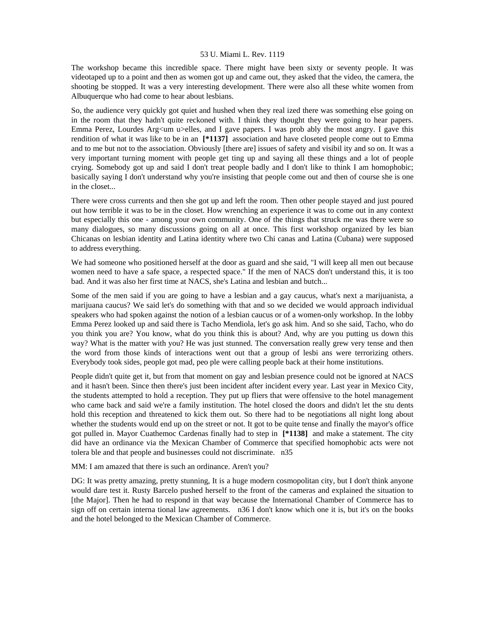The workshop became this incredible space. There might have been sixty or seventy people. It was videotaped up to a point and then as women got up and came out, they asked that the video, the camera, the shooting be stopped. It was a very interesting development. There were also all these white women from Albuquerque who had come to hear about lesbians.

So, the audience very quickly got quiet and hushed when they real ized there was something else going on in the room that they hadn't quite reckoned with. I think they thought they were going to hear papers. Emma Perez, Lourdes Arg $\lt$ um u $\gt$ elles, and I gave papers. I was prob ably the most angry. I gave this rendition of what it was like to be in an **[\*1137]** association and have closeted people come out to Emma and to me but not to the association. Obviously [there are] issues of safety and visibil ity and so on. It was a very important turning moment with people get ting up and saying all these things and a lot of people crying. Somebody got up and said I don't treat people badly and I don't like to think I am homophobic; basically saying I don't understand why you're insisting that people come out and then of course she is one in the closet...

There were cross currents and then she got up and left the room. Then other people stayed and just poured out how terrible it was to be in the closet. How wrenching an experience it was to come out in any context but especially this one - among your own community. One of the things that struck me was there were so many dialogues, so many discussions going on all at once. This first workshop organized by les bian Chicanas on lesbian identity and Latina identity where two Chi canas and Latina (Cubana) were supposed to address everything.

We had someone who positioned herself at the door as guard and she said, "I will keep all men out because women need to have a safe space, a respected space." If the men of NACS don't understand this, it is too bad. And it was also her first time at NACS, she's Latina and lesbian and butch...

Some of the men said if you are going to have a lesbian and a gay caucus, what's next a marijuanista, a marijuana caucus? We said let's do something with that and so we decided we would approach individual speakers who had spoken against the notion of a lesbian caucus or of a women-only workshop. In the lobby Emma Perez looked up and said there is Tacho Mendiola, let's go ask him. And so she said, Tacho, who do you think you are? You know, what do you think this is about? And, why are you putting us down this way? What is the matter with you? He was just stunned. The conversation really grew very tense and then the word from those kinds of interactions went out that a group of lesbi ans were terrorizing others. Everybody took sides, people got mad, peo ple were calling people back at their home institutions.

People didn't quite get it, but from that moment on gay and lesbian presence could not be ignored at NACS and it hasn't been. Since then there's just been incident after incident every year. Last year in Mexico City, the students attempted to hold a reception. They put up fliers that were offensive to the hotel management who came back and said we're a family institution. The hotel closed the doors and didn't let the stu dents hold this reception and threatened to kick them out. So there had to be negotiations all night long about whether the students would end up on the street or not. It got to be quite tense and finally the mayor's office got pulled in. Mayor Cuathemoc Cardenas finally had to step in **[\*1138]** and make a statement. The city did have an ordinance via the Mexican Chamber of Commerce that specified homophobic acts were not tolera ble and that people and businesses could not discriminate. n35

MM: I am amazed that there is such an ordinance. Aren't you?

DG: It was pretty amazing, pretty stunning, It is a huge modern cosmopolitan city, but I don't think anyone would dare test it. Rusty Barcelo pushed herself to the front of the cameras and explained the situation to [the Major]. Then he had to respond in that way because the International Chamber of Commerce has to sign off on certain interna tional law agreements. n36 I don't know which one it is, but it's on the books and the hotel belonged to the Mexican Chamber of Commerce.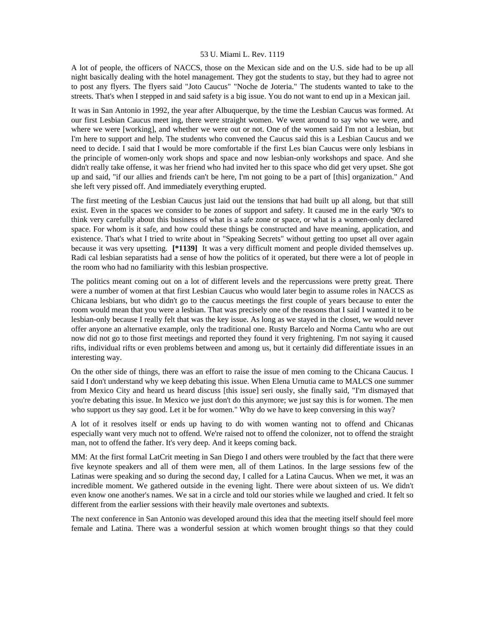A lot of people, the officers of NACCS, those on the Mexican side and on the U.S. side had to be up all night basically dealing with the hotel management. They got the students to stay, but they had to agree not to post any flyers. The flyers said "Joto Caucus" "Noche de Joteria." The students wanted to take to the streets. That's when I stepped in and said safety is a big issue. You do not want to end up in a Mexican jail.

It was in San Antonio in 1992, the year after Albuquerque, by the time the Lesbian Caucus was formed. At our first Lesbian Caucus meet ing, there were straight women. We went around to say who we were, and where we were [working], and whether we were out or not. One of the women said I'm not a lesbian, but I'm here to support and help. The students who convened the Caucus said this is a Lesbian Caucus and we need to decide. I said that I would be more comfortable if the first Les bian Caucus were only lesbians in the principle of women-only work shops and space and now lesbian-only workshops and space. And she didn't really take offense, it was her friend who had invited her to this space who did get very upset. She got up and said, "if our allies and friends can't be here, I'm not going to be a part of [this] organization." And she left very pissed off. And immediately everything erupted.

The first meeting of the Lesbian Caucus just laid out the tensions that had built up all along, but that still exist. Even in the spaces we consider to be zones of support and safety. It caused me in the early '90's to think very carefully about this business of what is a safe zone or space, or what is a women-only declared space. For whom is it safe, and how could these things be constructed and have meaning, application, and existence. That's what I tried to write about in "Speaking Secrets" without getting too upset all over again because it was very upsetting. **[\*1139]** It was a very difficult moment and people divided themselves up. Radi cal lesbian separatists had a sense of how the politics of it operated, but there were a lot of people in the room who had no familiarity with this lesbian prospective.

The politics meant coming out on a lot of different levels and the repercussions were pretty great. There were a number of women at that first Lesbian Caucus who would later begin to assume roles in NACCS as Chicana lesbians, but who didn't go to the caucus meetings the first couple of years because to enter the room would mean that you were a lesbian. That was precisely one of the reasons that I said I wanted it to be lesbian-only because I really felt that was the key issue. As long as we stayed in the closet, we would never offer anyone an alternative example, only the traditional one. Rusty Barcelo and Norma Cantu who are out now did not go to those first meetings and reported they found it very frightening. I'm not saying it caused rifts, individual rifts or even problems between and among us, but it certainly did differentiate issues in an interesting way.

On the other side of things, there was an effort to raise the issue of men coming to the Chicana Caucus. I said I don't understand why we keep debating this issue. When Elena Urnutia came to MALCS one summer from Mexico City and heard us heard discuss [this issue] seri ously, she finally said, "I'm dismayed that you're debating this issue. In Mexico we just don't do this anymore; we just say this is for women. The men who support us they say good. Let it be for women." Why do we have to keep conversing in this way?

A lot of it resolves itself or ends up having to do with women wanting not to offend and Chicanas especially want very much not to offend. We're raised not to offend the colonizer, not to offend the straight man, not to offend the father. It's very deep. And it keeps coming back.

MM: At the first formal LatCrit meeting in San Diego I and others were troubled by the fact that there were five keynote speakers and all of them were men, all of them Latinos. In the large sessions few of the Latinas were speaking and so during the second day, I called for a Latina Caucus. When we met, it was an incredible moment. We gathered outside in the evening light. There were about sixteen of us. We didn't even know one another's names. We sat in a circle and told our stories while we laughed and cried. It felt so different from the earlier sessions with their heavily male overtones and subtexts.

The next conference in San Antonio was developed around this idea that the meeting itself should feel more female and Latina. There was a wonderful session at which women brought things so that they could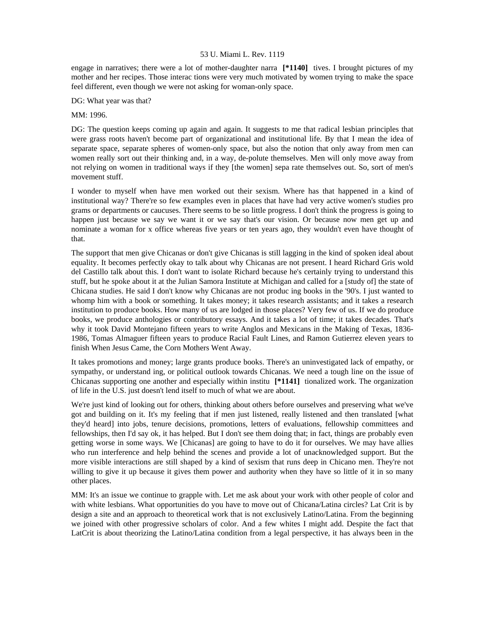engage in narratives; there were a lot of mother-daughter narra **[\*1140]** tives. I brought pictures of my mother and her recipes. Those interac tions were very much motivated by women trying to make the space feel different, even though we were not asking for woman-only space.

DG: What year was that?

## MM: 1996.

DG: The question keeps coming up again and again. It suggests to me that radical lesbian principles that were grass roots haven't become part of organizational and institutional life. By that I mean the idea of separate space, separate spheres of women-only space, but also the notion that only away from men can women really sort out their thinking and, in a way, de-polute themselves. Men will only move away from not relying on women in traditional ways if they [the women] sepa rate themselves out. So, sort of men's movement stuff.

I wonder to myself when have men worked out their sexism. Where has that happened in a kind of institutional way? There're so few examples even in places that have had very active women's studies pro grams or departments or caucuses. There seems to be so little progress. I don't think the progress is going to happen just because we say we want it or we say that's our vision. Or because now men get up and nominate a woman for x office whereas five years or ten years ago, they wouldn't even have thought of that.

The support that men give Chicanas or don't give Chicanas is still lagging in the kind of spoken ideal about equality. It becomes perfectly okay to talk about why Chicanas are not present. I heard Richard Gris wold del Castillo talk about this. I don't want to isolate Richard because he's certainly trying to understand this stuff, but he spoke about it at the Julian Samora Institute at Michigan and called for a [study of] the state of Chicana studies. He said I don't know why Chicanas are not produc ing books in the '90's. I just wanted to whomp him with a book or something. It takes money; it takes research assistants; and it takes a research institution to produce books. How many of us are lodged in those places? Very few of us. If we do produce books, we produce anthologies or contributory essays. And it takes a lot of time; it takes decades. That's why it took David Montejano fifteen years to write Anglos and Mexicans in the Making of Texas, 1836- 1986, Tomas Almaguer fifteen years to produce Racial Fault Lines, and Ramon Gutierrez eleven years to finish When Jesus Came, the Corn Mothers Went Away.

It takes promotions and money; large grants produce books. There's an uninvestigated lack of empathy, or sympathy, or understand ing, or political outlook towards Chicanas. We need a tough line on the issue of Chicanas supporting one another and especially within institu **[\*1141]** tionalized work. The organization of life in the U.S. just doesn't lend itself to much of what we are about.

We're just kind of looking out for others, thinking about others before ourselves and preserving what we've got and building on it. It's my feeling that if men just listened, really listened and then translated [what they'd heard] into jobs, tenure decisions, promotions, letters of evaluations, fellowship committees and fellowships, then I'd say ok, it has helped. But I don't see them doing that; in fact, things are probably even getting worse in some ways. We [Chicanas] are going to have to do it for ourselves. We may have allies who run interference and help behind the scenes and provide a lot of unacknowledged support. But the more visible interactions are still shaped by a kind of sexism that runs deep in Chicano men. They're not willing to give it up because it gives them power and authority when they have so little of it in so many other places.

MM: It's an issue we continue to grapple with. Let me ask about your work with other people of color and with white lesbians. What opportunities do you have to move out of Chicana/Latina circles? Lat Crit is by design a site and an approach to theoretical work that is not exclusively Latino/Latina. From the beginning we joined with other progressive scholars of color. And a few whites I might add. Despite the fact that LatCrit is about theorizing the Latino/Latina condition from a legal perspective, it has always been in the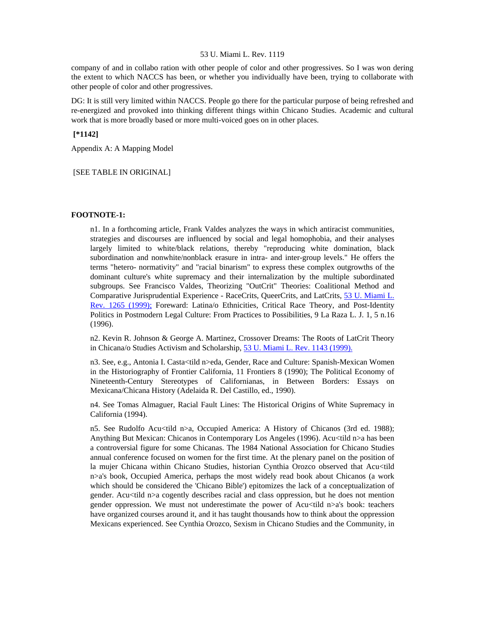company of and in collabo ration with other people of color and other progressives. So I was won dering the extent to which NACCS has been, or whether you individually have been, trying to collaborate with other people of color and other progressives.

DG: It is still very limited within NACCS. People go there for the particular purpose of being refreshed and re-energized and provoked into thinking different things within Chicano Studies. Academic and cultural work that is more broadly based or more multi-voiced goes on in other places.

 **[\*1142]** 

Appendix A: A Mapping Model

#### [SEE TABLE IN ORIGINAL]

#### **FOOTNOTE-1:**

n1. In a forthcoming article, Frank Valdes analyzes the ways in which antiracist communities, strategies and discourses are influenced by social and legal homophobia, and their analyses largely limited to white/black relations, thereby "reproducing white domination, black subordination and nonwhite/nonblack erasure in intra- and inter-group levels." He offers the terms "hetero- normativity" and "racial binarism" to express these complex outgrowths of the dominant culture's white supremacy and their internalization by the multiple subordinated subgroups. See Francisco Valdes, Theorizing "OutCrit" Theories: Coalitional Method and Comparative Jurisprudential Experience - RaceCrits, QueerCrits, and LatCrits, [53 U. Miami L.](http://www.lexis.com/research/xlink?searchtype=get&search=53%20U.%20Miami%20L.%20Rev.%201265)  [Rev. 1265 \(1999\);](http://www.lexis.com/research/xlink?searchtype=get&search=53%20U.%20Miami%20L.%20Rev.%201265) Foreward: Latina/o Ethnicities, Critical Race Theory, and Post-Identity Politics in Postmodern Legal Culture: From Practices to Possibilities, 9 La Raza L. J. 1, 5 n.16 (1996).

n2. Kevin R. Johnson & George A. Martinez, Crossover Dreams: The Roots of LatCrit Theory in Chicana/o Studies Activism and Scholarship, [53 U. Miami L. Rev. 1143 \(1999\).](http://www.lexis.com/research/xlink?searchtype=get&search=53%20U.%20Miami%20L.%20Rev.%201143)

n3. See, e.g., Antonia I. Casta<tild n>eda, Gender, Race and Culture: Spanish-Mexican Women in the Historiography of Frontier California, 11 Frontiers 8 (1990); The Political Economy of Nineteenth-Century Stereotypes of Californianas, in Between Borders: Essays on Mexicana/Chicana History (Adelaida R. Del Castillo, ed., 1990).

n4. See Tomas Almaguer, Racial Fault Lines: The Historical Origins of White Supremacy in California (1994).

n5. See Rudolfo Acu<tild n>a, Occupied America: A History of Chicanos (3rd ed. 1988); Anything But Mexican: Chicanos in Contemporary Los Angeles (1996). Acu<tild n>a has been a controversial figure for some Chicanas. The 1984 National Association for Chicano Studies annual conference focused on women for the first time. At the plenary panel on the position of la mujer Chicana within Chicano Studies, historian Cynthia Orozco observed that Acu<tild n>a's book, Occupied America, perhaps the most widely read book about Chicanos (a work which should be considered the 'Chicano Bible') epitomizes the lack of a conceptualization of gender. Acu<tild n>a cogently describes racial and class oppression, but he does not mention gender oppression. We must not underestimate the power of Acu<tild n>a's book: teachers have organized courses around it, and it has taught thousands how to think about the oppression Mexicans experienced. See Cynthia Orozco, Sexism in Chicano Studies and the Community, in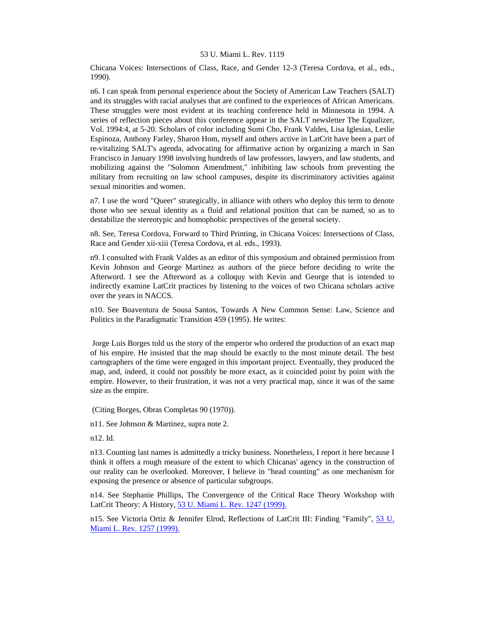Chicana Voices: Intersections of Class, Race, and Gender 12-3 (Teresa Cordova, et al., eds., 1990).

n6. I can speak from personal experience about the Society of American Law Teachers (SALT) and its struggles with racial analyses that are confined to the experiences of African Americans. These struggles were most evident at its teaching conference held in Minnesota in 1994. A series of reflection pieces about this conference appear in the SALT newsletter The Equalizer, Vol. 1994:4, at 5-20. Scholars of color including Sumi Cho, Frank Valdes, Lisa Iglesias, Leslie Espinoza, Anthony Farley, Sharon Hom, myself and others active in LatCrit have been a part of re-vitalizing SALT's agenda, advocating for affirmative action by organizing a march in San Francisco in January 1998 involving hundreds of law professors, lawyers, and law students, and mobilizing against the "Solomon Amendment," inhibiting law schools from preventing the military from recruiting on law school campuses, despite its discriminatory activities against sexual minorities and women.

n7. I use the word "Queer" strategically, in alliance with others who deploy this term to denote those who see sexual identity as a fluid and relational position that can be named, so as to destabilize the stereotypic and homophobic perspectives of the general society.

n8. See, Teresa Cordova, Forward to Third Printing, in Chicana Voices: Intersections of Class, Race and Gender xii-xiii (Teresa Cordova, et al. eds., 1993).

n9. I consulted with Frank Valdes as an editor of this symposium and obtained permission from Kevin Johnson and George Martinez as authors of the piece before deciding to write the Afterword. I see the Afterword as a colloquy with Kevin and George that is intended to indirectly examine LatCrit practices by listening to the voices of two Chicana scholars active over the years in NACCS.

n10. See Boaventura de Sousa Santos, Towards A New Common Sense: Law, Science and Politics in the Paradigmatic Transition 459 (1995). He writes:

 Jorge Luis Borges told us the story of the emperor who ordered the production of an exact map of his empire. He insisted that the map should be exactly to the most minute detail. The best cartographers of the time were engaged in this important project. Eventually, they produced the map, and, indeed, it could not possibly be more exact, as it coincided point by point with the empire. However, to their frustration, it was not a very practical map, since it was of the same size as the empire.

(Citing Borges, Obras Completas 90 (1970)).

n11. See Johnson & Martinez, supra note 2.

n12. Id.

n13. Counting last names is admittedly a tricky business. Nonetheless, I report it here because I think it offers a rough measure of the extent to which Chicanas' agency in the construction of our reality can be overlooked. Moreover, I believe in "head counting" as one mechanism for exposing the presence or absence of particular subgroups.

n14. See Stephanie Phillips, The Convergence of the Critical Race Theory Workshop with LatCrit Theory: A History, [53 U. Miami L. Rev. 1247 \(1999\).](http://www.lexis.com/research/xlink?searchtype=get&search=53%20U.%20Miami%20L.%20Rev.%201247)

n15. See Victoria Ortiz & Jennifer Elrod, Reflections of LatCrit III: Finding "Family", 53 U. [Miami L. Rev. 1257 \(1999\).](http://www.lexis.com/research/xlink?searchtype=get&search=53%20U.%20Miami%20L.%20Rev.%201257)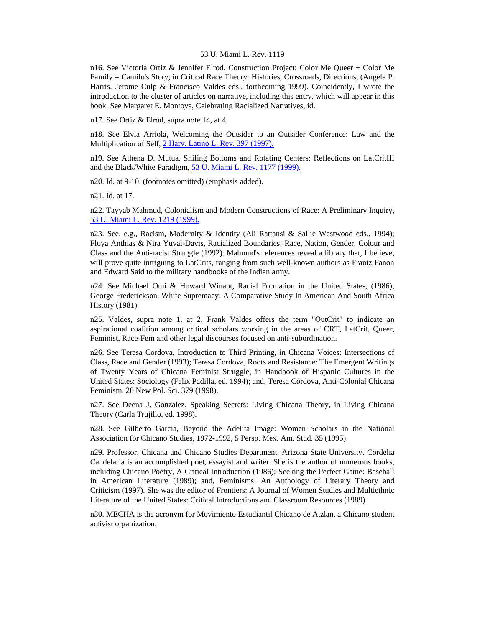n16. See Victoria Ortiz & Jennifer Elrod, Construction Project: Color Me Queer + Color Me Family = Camilo's Story, in Critical Race Theory: Histories, Crossroads, Directions, (Angela P. Harris, Jerome Culp & Francisco Valdes eds., forthcoming 1999). Coincidently, I wrote the introduction to the cluster of articles on narrative, including this entry, which will appear in this book. See Margaret E. Montoya, Celebrating Racialized Narratives, id.

n17. See Ortiz & Elrod, supra note 14, at 4.

n18. See Elvia Arriola, Welcoming the Outsider to an Outsider Conference: Law and the Multiplication of Self, [2 Harv. Latino L. Rev. 397 \(1997\).](http://www.lexis.com/research/xlink?searchtype=get&search=2%20Harv.%20Latino%20L.%20Rev.%20397)

n19. See Athena D. Mutua, Shifing Bottoms and Rotating Centers: Reflections on LatCritIII and the Black/White Paradigm, [53 U. Miami L. Rev. 1177 \(1999\).](http://www.lexis.com/research/xlink?searchtype=get&search=53%20U.%20Miami%20L.%20Rev.%201177)

n20. Id. at 9-10. (footnotes omitted) (emphasis added).

n21. Id. at 17.

n22. Tayyab Mahmud, Colonialism and Modern Constructions of Race: A Preliminary Inquiry, [53 U. Miami L. Rev. 1219 \(1999\).](http://www.lexis.com/research/xlink?searchtype=get&search=53%20U.%20Miami%20L.%20Rev.%201219)

n23. See, e.g., Racism, Modernity & Identity (Ali Rattansi & Sallie Westwood eds., 1994); Floya Anthias & Nira Yuval-Davis, Racialized Boundaries: Race, Nation, Gender, Colour and Class and the Anti-racist Struggle (1992). Mahmud's references reveal a library that, I believe, will prove quite intriguing to LatCrits, ranging from such well-known authors as Frantz Fanon and Edward Said to the military handbooks of the Indian army.

n24. See Michael Omi & Howard Winant, Racial Formation in the United States, (1986); George Frederickson, White Supremacy: A Comparative Study In American And South Africa History (1981).

n25. Valdes, supra note 1, at 2. Frank Valdes offers the term "OutCrit" to indicate an aspirational coalition among critical scholars working in the areas of CRT, LatCrit, Queer, Feminist, Race-Fem and other legal discourses focused on anti-subordination.

n26. See Teresa Cordova, Introduction to Third Printing, in Chicana Voices: Intersections of Class, Race and Gender (1993); Teresa Cordova, Roots and Resistance: The Emergent Writings of Twenty Years of Chicana Feminist Struggle, in Handbook of Hispanic Cultures in the United States: Sociology (Felix Padilla, ed. 1994); and, Teresa Cordova, Anti-Colonial Chicana Feminism, 20 New Pol. Sci. 379 (1998).

n27. See Deena J. Gonzalez, Speaking Secrets: Living Chicana Theory, in Living Chicana Theory (Carla Trujillo, ed. 1998).

n28. See Gilberto Garcia, Beyond the Adelita Image: Women Scholars in the National Association for Chicano Studies, 1972-1992, 5 Persp. Mex. Am. Stud. 35 (1995).

n29. Professor, Chicana and Chicano Studies Department, Arizona State University. Cordelia Candelaria is an accomplished poet, essayist and writer. She is the author of numerous books, including Chicano Poetry, A Critical Introduction (1986); Seeking the Perfect Game: Baseball in American Literature (1989); and, Feminisms: An Anthology of Literary Theory and Criticism (1997). She was the editor of Frontiers: A Journal of Women Studies and Multiethnic Literature of the United States: Critical Introductions and Classroom Resources (1989).

n30. MECHA is the acronym for Movimiento Estudiantil Chicano de Atzlan, a Chicano student activist organization.